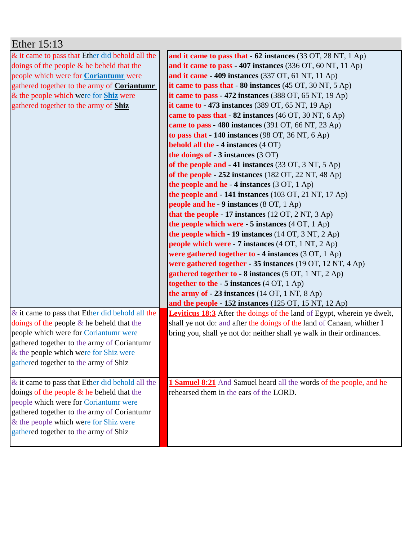| Ether 15:13                                                                          |                                                                                      |
|--------------------------------------------------------------------------------------|--------------------------------------------------------------------------------------|
| & it came to pass that Ether did behold all the                                      | and it came to pass that $-62$ instances (33 OT, 28 NT, 1 Ap)                        |
| doings of the people $\&$ he beheld that the                                         | and it came to pass - 407 instances $(336 \text{ OT}, 60 \text{ NT}, 11 \text{ Ap})$ |
| people which were for <b>Coriantumr</b> were                                         | and it came $-409$ instances (337 OT, 61 NT, 11 Ap)                                  |
| gathered together to the army of Coriantumr                                          | it came to pass that $-80$ instances (45 OT, 30 NT, 5 Ap)                            |
| & the people which were for <b>Shiz</b> were                                         | it came to pass - 472 instances $(388 \text{ OT}, 65 \text{ NT}, 19 \text{ Ap})$     |
| gathered together to the army of Shiz                                                | it came to $-473$ instances (389 OT, 65 NT, 19 Ap)                                   |
|                                                                                      | came to pass that - 82 instances (46 OT, 30 NT, 6 Ap)                                |
|                                                                                      | came to pass - 480 instances (391 OT, 66 NT, 23 Ap)                                  |
|                                                                                      | to pass that $-140$ instances (98 OT, 36 NT, 6 Ap)                                   |
|                                                                                      | <b>behold all the - 4 instances (4 OT)</b>                                           |
|                                                                                      | the doings of - 3 instances (3 OT)                                                   |
|                                                                                      | of the people and - 41 instances (33 OT, 3 NT, 5 Ap)                                 |
|                                                                                      | of the people $-252$ instances (182 OT, 22 NT, 48 Ap)                                |
|                                                                                      | the people and he $-4$ instances (3 OT, 1 Ap)                                        |
|                                                                                      | the people and $-141$ instances (103 OT, 21 NT, 17 Ap)                               |
|                                                                                      | people and he - 9 instances $(8 \text{ OT}, 1 \text{ Ap})$                           |
|                                                                                      | that the people - 17 instances $(12 \text{ OT}, 2 \text{ NT}, 3 \text{ Ap})$         |
|                                                                                      | the people which were $-5$ instances $(4 \text{ OT}, 1 \text{ Ap})$                  |
|                                                                                      | the people which $-19$ instances (14 OT, 3 NT, 2 Ap)                                 |
|                                                                                      | <b>people which were - 7 instances</b> (4 OT, 1 NT, 2 Ap)                            |
|                                                                                      | were gathered together to $-4$ instances (3 OT, 1 Ap)                                |
|                                                                                      | were gathered together - 35 instances (19 OT, 12 NT, 4 Ap)                           |
|                                                                                      | gathered together to - 8 instances (5 OT, 1 NT, 2 Ap)                                |
|                                                                                      | together to the $-5$ instances $(4$ OT, $1$ Ap)                                      |
|                                                                                      | the army of $-23$ instances (14 OT, 1 NT, 8 Ap)                                      |
|                                                                                      | and the people - $152$ instances ( $125$ OT, $15$ NT, $12$ Ap)                       |
| $\&$ it came to pass that Ether did behold all the                                   | <b>Leviticus 18:3</b> After the doings of the land of Egypt, wherein ye dwelt,       |
| doings of the people $\&$ he beheld that the                                         | shall ye not do: and after the doings of the land of Canaan, whither I               |
| people which were for Coriantumr were                                                | bring you, shall ye not do: neither shall ye walk in their ordinances.               |
| gathered together to the army of Coriantumr                                          |                                                                                      |
| & the people which were for Shiz were                                                |                                                                                      |
| gathered together to the army of Shiz                                                |                                                                                      |
|                                                                                      |                                                                                      |
| & it came to pass that Ether did behold all the                                      | <b>1 Samuel 8:21</b> And Samuel heard all the words of the people, and he            |
| doings of the people & he beheld that the                                            | rehearsed them in the ears of the LORD.                                              |
| people which were for Coriantumr were<br>gathered together to the army of Coriantumr |                                                                                      |
| & the people which were for Shiz were                                                |                                                                                      |
| gathered together to the army of Shiz                                                |                                                                                      |
|                                                                                      |                                                                                      |
|                                                                                      |                                                                                      |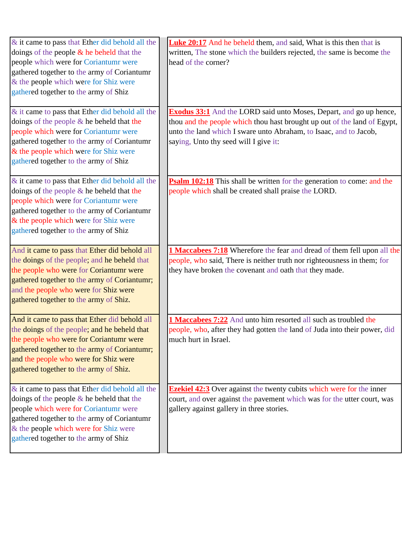| & it came to pass that Ether did behold all the | <b>Luke 20:17</b> And he beheld them, and said, What is this then that is   |
|-------------------------------------------------|-----------------------------------------------------------------------------|
| doings of the people $\&$ he beheld that the    | written, The stone which the builders rejected, the same is become the      |
| people which were for Coriantumr were           | head of the corner?                                                         |
| gathered together to the army of Coriantumr     |                                                                             |
| & the people which were for Shiz were           |                                                                             |
| gathered together to the army of Shiz           |                                                                             |
|                                                 |                                                                             |
| & it came to pass that Ether did behold all the | <b>Exodus 33:1</b> And the LORD said unto Moses, Depart, and go up hence,   |
| doings of the people $\&$ he beheld that the    | thou and the people which thou hast brought up out of the land of Egypt,    |
| people which were for Coriantumr were           | unto the land which I sware unto Abraham, to Isaac, and to Jacob,           |
| gathered together to the army of Coriantumr     | saying, Unto thy seed will I give it:                                       |
| & the people which were for Shiz were           |                                                                             |
| gathered together to the army of Shiz           |                                                                             |
|                                                 |                                                                             |
| & it came to pass that Ether did behold all the | Psalm 102:18 This shall be written for the generation to come: and the      |
| doings of the people $\&$ he beheld that the    | people which shall be created shall praise the LORD.                        |
| people which were for Coriantumr were           |                                                                             |
| gathered together to the army of Coriantumr     |                                                                             |
| & the people which were for Shiz were           |                                                                             |
| gathered together to the army of Shiz           |                                                                             |
|                                                 |                                                                             |
|                                                 |                                                                             |
| And it came to pass that Ether did behold all   | 1 Maccabees 7:18 Wherefore the fear and dread of them fell upon all the     |
| the doings of the people; and he beheld that    | people, who said, There is neither truth nor righteousness in them; for     |
| the people who were for Coriantumr were         | they have broken the covenant and oath that they made.                      |
| gathered together to the army of Coriantumr;    |                                                                             |
| and the people who were for Shiz were           |                                                                             |
| gathered together to the army of Shiz.          |                                                                             |
|                                                 |                                                                             |
| And it came to pass that Ether did behold all   | 1 Maccabees 7:22 And unto him resorted all such as troubled the             |
| the doings of the people; and he beheld that    | people, who, after they had gotten the land of Juda into their power, did   |
| the people who were for Coriantumr were         | much hurt in Israel.                                                        |
| gathered together to the army of Coriantumr;    |                                                                             |
| and the people who were for Shiz were           |                                                                             |
| gathered together to the army of Shiz.          |                                                                             |
|                                                 |                                                                             |
| & it came to pass that Ether did behold all the | <b>Ezekiel 42:3</b> Over against the twenty cubits which were for the inner |
| doings of the people $\&$ he beheld that the    | court, and over against the pavement which was for the utter court, was     |
| people which were for Coriantumr were           | gallery against gallery in three stories.                                   |
| gathered together to the army of Coriantumr     |                                                                             |
| & the people which were for Shiz were           |                                                                             |
| gathered together to the army of Shiz           |                                                                             |